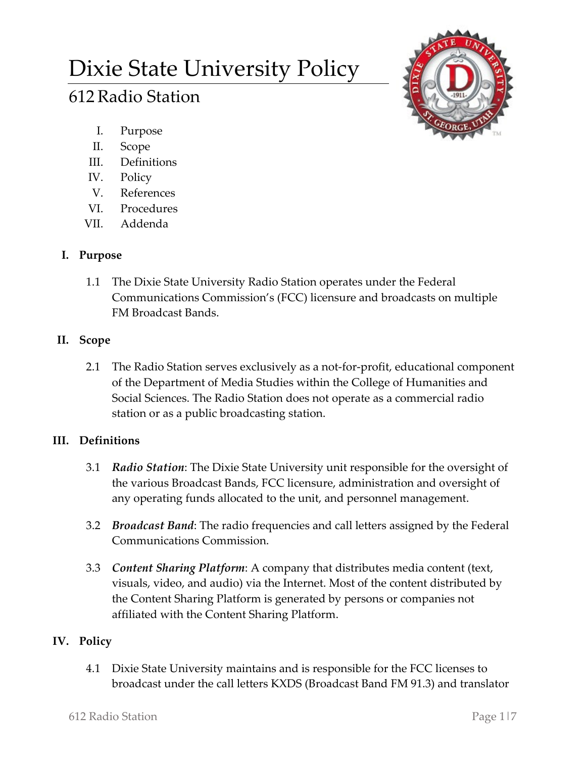# Dixie State University Policy

# 612Radio Station



- I. Purpose
- II. Scope
- III. Definitions
- IV. Policy
- V. References
- VI. Procedures
- VII. Addenda

## **I. Purpose**

1.1 The Dixie State University Radio Station operates under the Federal Communications Commission's (FCC) licensure and broadcasts on multiple FM Broadcast Bands.

## **II. Scope**

2.1 The Radio Station serves exclusively as a not-for-profit, educational component of the Department of Media Studies within the College of Humanities and Social Sciences. The Radio Station does not operate as a commercial radio station or as a public broadcasting station.

# **III. Definitions**

- 3.1 *Radio Station*: The Dixie State University unit responsible for the oversight of the various Broadcast Bands, FCC licensure, administration and oversight of any operating funds allocated to the unit, and personnel management.
- 3.2 *Broadcast Band*: The radio frequencies and call letters assigned by the Federal Communications Commission.
- 3.3 *Content Sharing Platform*: A company that distributes media content (text, visuals, video, and audio) via the Internet. Most of the content distributed by the Content Sharing Platform is generated by persons or companies not affiliated with the Content Sharing Platform.

# **IV. Policy**

4.1 Dixie State University maintains and is responsible for the FCC licenses to broadcast under the call letters KXDS (Broadcast Band FM 91.3) and translator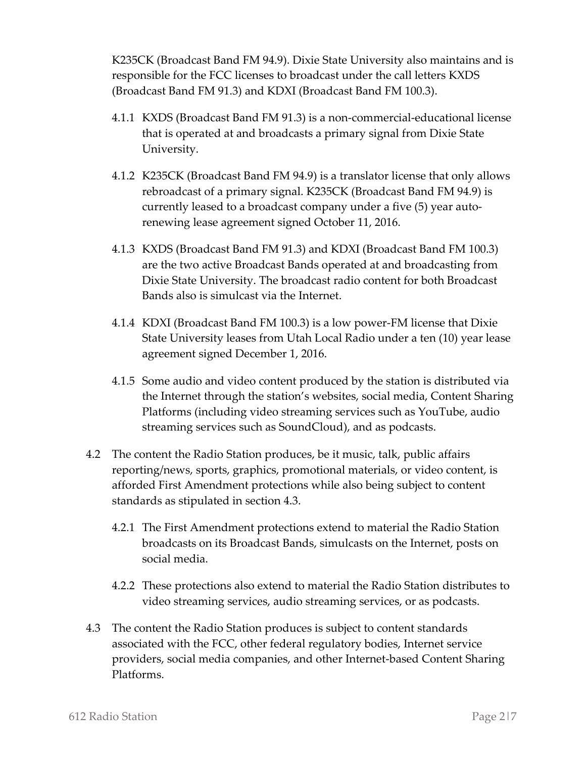K235CK (Broadcast Band FM 94.9). Dixie State University also maintains and is responsible for the FCC licenses to broadcast under the call letters KXDS (Broadcast Band FM 91.3) and KDXI (Broadcast Band FM 100.3).

- 4.1.1 KXDS (Broadcast Band FM 91.3) is a non-commercial-educational license that is operated at and broadcasts a primary signal from Dixie State University.
- 4.1.2 K235CK (Broadcast Band FM 94.9) is a translator license that only allows rebroadcast of a primary signal. K235CK (Broadcast Band FM 94.9) is currently leased to a broadcast company under a five (5) year autorenewing lease agreement signed October 11, 2016.
- 4.1.3 KXDS (Broadcast Band FM 91.3) and KDXI (Broadcast Band FM 100.3) are the two active Broadcast Bands operated at and broadcasting from Dixie State University. The broadcast radio content for both Broadcast Bands also is simulcast via the Internet.
- 4.1.4 KDXI (Broadcast Band FM 100.3) is a low power-FM license that Dixie State University leases from Utah Local Radio under a ten (10) year lease agreement signed December 1, 2016.
- 4.1.5 Some audio and video content produced by the station is distributed via the Internet through the station's websites, social media, Content Sharing Platforms (including video streaming services such as YouTube, audio streaming services such as SoundCloud), and as podcasts.
- 4.2 The content the Radio Station produces, be it music, talk, public affairs reporting/news, sports, graphics, promotional materials, or video content, is afforded First Amendment protections while also being subject to content standards as stipulated in section 4.3.
	- 4.2.1 The First Amendment protections extend to material the Radio Station broadcasts on its Broadcast Bands, simulcasts on the Internet, posts on social media.
	- 4.2.2 These protections also extend to material the Radio Station distributes to video streaming services, audio streaming services, or as podcasts.
- 4.3 The content the Radio Station produces is subject to content standards associated with the FCC, other federal regulatory bodies, Internet service providers, social media companies, and other Internet-based Content Sharing Platforms.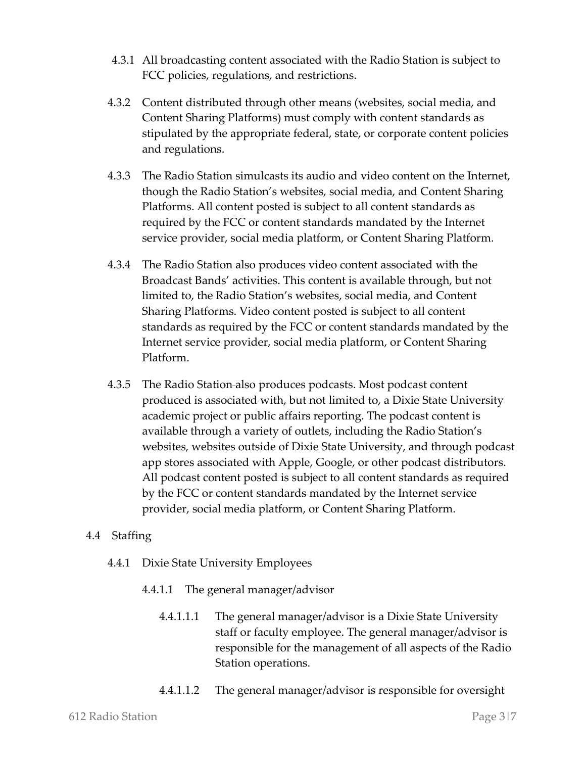- 4.3.1 All broadcasting content associated with the Radio Station is subject to FCC policies, regulations, and restrictions.
- 4.3.2 Content distributed through other means (websites, social media, and Content Sharing Platforms) must comply with content standards as stipulated by the appropriate federal, state, or corporate content policies and regulations.
- 4.3.3 The Radio Station simulcasts its audio and video content on the Internet, though the Radio Station's websites, social media, and Content Sharing Platforms. All content posted is subject to all content standards as required by the FCC or content standards mandated by the Internet service provider, social media platform, or Content Sharing Platform.
- 4.3.4 The Radio Station also produces video content associated with the Broadcast Bands' activities. This content is available through, but not limited to, the Radio Station's websites, social media, and Content Sharing Platforms. Video content posted is subject to all content standards as required by the FCC or content standards mandated by the Internet service provider, social media platform, or Content Sharing Platform.
- 4.3.5 The Radio Station also produces podcasts. Most podcast content produced is associated with, but not limited to, a Dixie State University academic project or public affairs reporting. The podcast content is available through a variety of outlets, including the Radio Station's websites, websites outside of Dixie State University, and through podcast app stores associated with Apple, Google, or other podcast distributors. All podcast content posted is subject to all content standards as required by the FCC or content standards mandated by the Internet service provider, social media platform, or Content Sharing Platform.

#### 4.4 Staffing

- 4.4.1 Dixie State University Employees
	- 4.4.1.1 The general manager/advisor
		- 4.4.1.1.1 The general manager/advisor is a Dixie State University staff or faculty employee. The general manager/advisor is responsible for the management of all aspects of the Radio Station operations.
		- 4.4.1.1.2 The general manager/advisor is responsible for oversight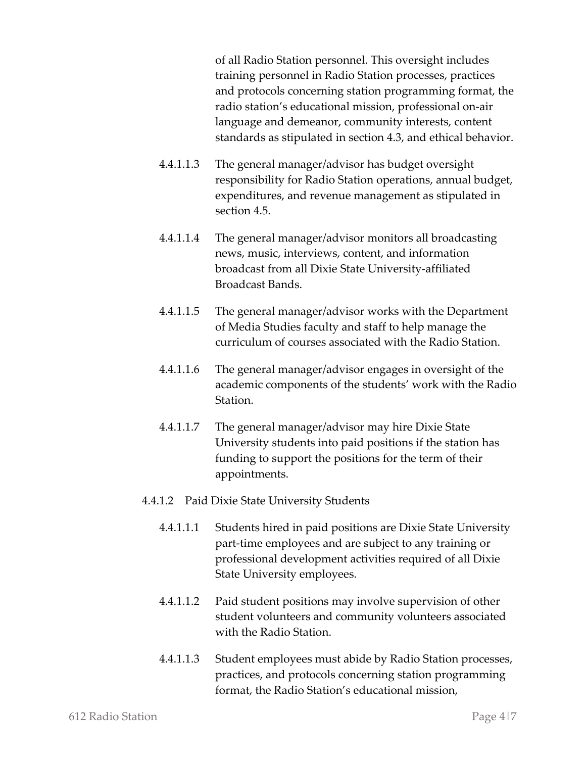of all Radio Station personnel. This oversight includes training personnel in Radio Station processes, practices and protocols concerning station programming format, the radio station's educational mission, professional on-air language and demeanor, community interests, content standards as stipulated in section 4.3, and ethical behavior.

- 4.4.1.1.3 The general manager/advisor has budget oversight responsibility for Radio Station operations, annual budget, expenditures, and revenue management as stipulated in section 4.5.
- 4.4.1.1.4 The general manager/advisor monitors all broadcasting news, music, interviews, content, and information broadcast from all Dixie State University-affiliated Broadcast Bands.
- 4.4.1.1.5 The general manager/advisor works with the Department of Media Studies faculty and staff to help manage the curriculum of courses associated with the Radio Station.
- 4.4.1.1.6 The general manager/advisor engages in oversight of the academic components of the students' work with the Radio Station.
- 4.4.1.1.7 The general manager/advisor may hire Dixie State University students into paid positions if the station has funding to support the positions for the term of their appointments.
- 4.4.1.2 Paid Dixie State University Students
	- 4.4.1.1.1 Students hired in paid positions are Dixie State University part-time employees and are subject to any training or professional development activities required of all Dixie State University employees.
	- 4.4.1.1.2 Paid student positions may involve supervision of other student volunteers and community volunteers associated with the Radio Station.
	- 4.4.1.1.3 Student employees must abide by Radio Station processes, practices, and protocols concerning station programming format, the Radio Station's educational mission,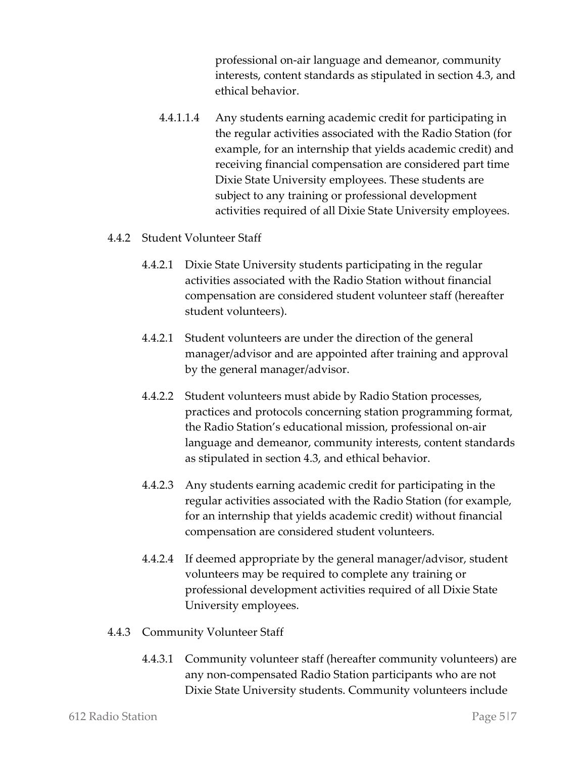professional on-air language and demeanor, community interests, content standards as stipulated in section 4.3, and ethical behavior.

4.4.1.1.4 Any students earning academic credit for participating in the regular activities associated with the Radio Station (for example, for an internship that yields academic credit) and receiving financial compensation are considered part time Dixie State University employees. These students are subject to any training or professional development activities required of all Dixie State University employees.

#### 4.4.2 Student Volunteer Staff

- 4.4.2.1 Dixie State University students participating in the regular activities associated with the Radio Station without financial compensation are considered student volunteer staff (hereafter student volunteers).
- 4.4.2.1 Student volunteers are under the direction of the general manager/advisor and are appointed after training and approval by the general manager/advisor.
- 4.4.2.2 Student volunteers must abide by Radio Station processes, practices and protocols concerning station programming format, the Radio Station's educational mission, professional on-air language and demeanor, community interests, content standards as stipulated in section 4.3, and ethical behavior.
- 4.4.2.3 Any students earning academic credit for participating in the regular activities associated with the Radio Station (for example, for an internship that yields academic credit) without financial compensation are considered student volunteers.
- 4.4.2.4 If deemed appropriate by the general manager/advisor, student volunteers may be required to complete any training or professional development activities required of all Dixie State University employees.

#### 4.4.3 Community Volunteer Staff

4.4.3.1 Community volunteer staff (hereafter community volunteers) are any non-compensated Radio Station participants who are not Dixie State University students. Community volunteers include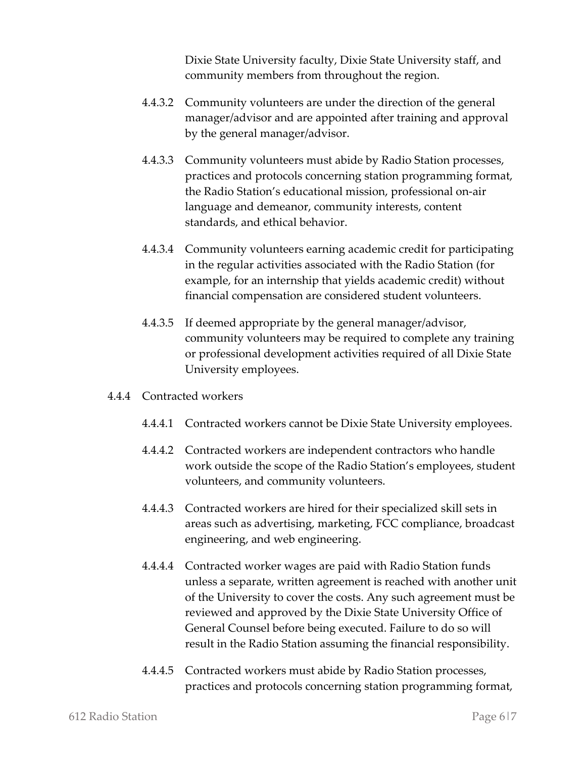Dixie State University faculty, Dixie State University staff, and community members from throughout the region.

- 4.4.3.2 Community volunteers are under the direction of the general manager/advisor and are appointed after training and approval by the general manager/advisor.
- 4.4.3.3 Community volunteers must abide by Radio Station processes, practices and protocols concerning station programming format, the Radio Station's educational mission, professional on-air language and demeanor, community interests, content standards, and ethical behavior.
- 4.4.3.4 Community volunteers earning academic credit for participating in the regular activities associated with the Radio Station (for example, for an internship that yields academic credit) without financial compensation are considered student volunteers.
- 4.4.3.5 If deemed appropriate by the general manager/advisor, community volunteers may be required to complete any training or professional development activities required of all Dixie State University employees.
- 4.4.4 Contracted workers
	- 4.4.4.1 Contracted workers cannot be Dixie State University employees.
	- 4.4.4.2 Contracted workers are independent contractors who handle work outside the scope of the Radio Station's employees, student volunteers, and community volunteers.
	- 4.4.4.3 Contracted workers are hired for their specialized skill sets in areas such as advertising, marketing, FCC compliance, broadcast engineering, and web engineering.
	- 4.4.4.4 Contracted worker wages are paid with Radio Station funds unless a separate, written agreement is reached with another unit of the University to cover the costs. Any such agreement must be reviewed and approved by the Dixie State University Office of General Counsel before being executed. Failure to do so will result in the Radio Station assuming the financial responsibility.
	- 4.4.4.5 Contracted workers must abide by Radio Station processes, practices and protocols concerning station programming format,